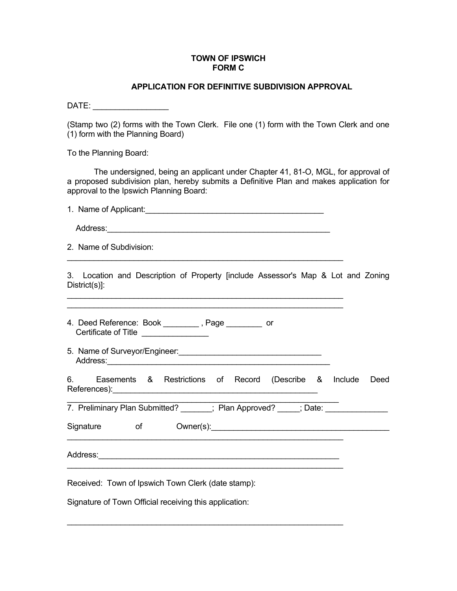#### **TOWN OF IPSWICH FORM C**

#### **APPLICATION FOR DEFINITIVE SUBDIVISION APPROVAL**

DATE: \_\_\_\_\_\_\_\_\_\_\_\_\_\_\_\_\_

(Stamp two (2) forms with the Town Clerk. File one (1) form with the Town Clerk and one (1) form with the Planning Board)

To the Planning Board:

 The undersigned, being an applicant under Chapter 41, 81-O, MGL, for approval of a proposed subdivision plan, hereby submits a Definitive Plan and makes application for approval to the Ipswich Planning Board:

| 1. Name of Applicant: |  |
|-----------------------|--|
|                       |  |

\_\_\_\_\_\_\_\_\_\_\_\_\_\_\_\_\_\_\_\_\_\_\_\_\_\_\_\_\_\_\_\_\_\_\_\_\_\_\_\_\_\_\_\_\_\_\_\_\_\_\_\_\_\_\_\_\_\_\_\_\_\_

\_\_\_\_\_\_\_\_\_\_\_\_\_\_\_\_\_\_\_\_\_\_\_\_\_\_\_\_\_\_\_\_\_\_\_\_\_\_\_\_\_\_\_\_\_\_\_\_\_\_\_\_\_\_\_\_\_\_\_\_\_\_ \_\_\_\_\_\_\_\_\_\_\_\_\_\_\_\_\_\_\_\_\_\_\_\_\_\_\_\_\_\_\_\_\_\_\_\_\_\_\_\_\_\_\_\_\_\_\_\_\_\_\_\_\_\_\_\_\_\_\_\_\_\_

Address: with the contract of the contract of the contract of the contract of the contract of the contract of the contract of the contract of the contract of the contract of the contract of the contract of the contract of

2. Name of Subdivision:

3. Location and Description of Property [include Assessor's Map & Lot and Zoning District(s)]:

4. Deed Reference: Book \_\_\_\_\_\_\_\_ , Page \_\_\_\_\_\_\_\_ or Certificate of Title \_\_\_\_\_\_\_\_\_\_\_\_\_\_\_\_

5. Name of Surveyor/Engineer:\_\_\_\_\_\_\_\_\_\_\_\_\_\_\_\_\_\_\_\_\_\_\_\_\_\_\_\_\_\_\_\_ Address:\_\_\_\_\_\_\_\_\_\_\_\_\_\_\_\_\_\_\_\_\_\_\_\_\_\_\_\_\_\_\_\_\_\_\_\_\_\_\_\_\_\_\_\_\_\_\_\_\_\_

6. Easements & Restrictions of Record (Describe & Include Deed References):\_\_\_\_\_\_\_\_\_\_\_\_\_\_\_\_\_\_\_\_\_\_\_\_\_\_\_\_\_\_\_\_\_\_\_\_\_\_\_\_\_\_\_\_\_\_

\_\_\_\_\_\_\_\_\_\_\_\_\_\_\_\_\_\_\_\_\_\_\_\_\_\_\_\_\_\_\_\_\_\_\_\_\_\_\_\_\_\_\_\_\_\_\_\_\_\_\_\_\_\_\_\_\_\_\_\_\_ 7. Preliminary Plan Submitted? \_\_\_\_\_\_; Plan Approved? \_\_\_\_; Date: \_\_\_\_\_\_\_\_\_\_\_\_\_\_

\_\_\_\_\_\_\_\_\_\_\_\_\_\_\_\_\_\_\_\_\_\_\_\_\_\_\_\_\_\_\_\_\_\_\_\_\_\_\_\_\_\_\_\_\_\_\_\_\_\_\_\_\_\_\_\_\_\_\_\_\_\_

\_\_\_\_\_\_\_\_\_\_\_\_\_\_\_\_\_\_\_\_\_\_\_\_\_\_\_\_\_\_\_\_\_\_\_\_\_\_\_\_\_\_\_\_\_\_\_\_\_\_\_\_\_\_\_\_\_\_\_\_\_\_

Signature of Owner(s): 2008 of Owner(s) and the Country of Owner (s) and the Country of Country of Country of Country of Country of Country of Country of Country of Country of Country of Country of Country of Country of Co

Address:\_\_\_\_\_\_\_\_\_\_\_\_\_\_\_\_\_\_\_\_\_\_\_\_\_\_\_\_\_\_\_\_\_\_\_\_\_\_\_\_\_\_\_\_\_\_\_\_\_\_\_\_\_\_

Received: Town of Ipswich Town Clerk (date stamp):

Signature of Town Official receiving this application: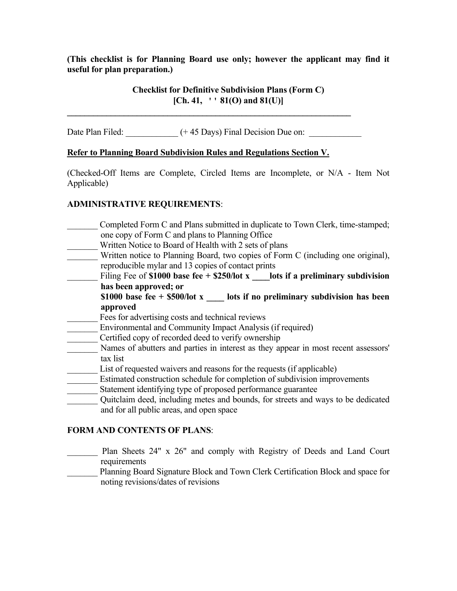**(This checklist is for Planning Board use only; however the applicant may find it useful for plan preparation.)** 

# **Checklist for Definitive Subdivision Plans (Form C) [Ch. 41, '' 81(O) and 81(U)]**

Date Plan Filed:  $(+ 45 \text{ Days})$  Final Decision Due on:

## **Refer to Planning Board Subdivision Rules and Regulations Section V.**

 $\mathcal{L} = \{ \mathcal{L} \mid \mathcal{L} \in \mathcal{L} \}$ 

(Checked-Off Items are Complete, Circled Items are Incomplete, or N/A - Item Not Applicable)

## **ADMINISTRATIVE REQUIREMENTS**:

- Completed Form C and Plans submitted in duplicate to Town Clerk, time-stamped; one copy of Form C and plans to Planning Office
- \_\_\_\_\_\_\_ Written Notice to Board of Health with 2 sets of plans
- \_\_\_\_\_\_\_ Written notice to Planning Board, two copies of Form C (including one original), reproducible mylar and 13 copies of contact prints
- Filing Fee of \$1000 base fee + \$250/lot x lots if a preliminary subdivision **has been approved; or** 
	- **\$1000 base fee + \$500/lot x \_\_\_\_ lots if no preliminary subdivision has been approved**
- Fees for advertising costs and technical reviews
- Environmental and Community Impact Analysis (if required)
- \_\_\_\_\_\_\_ Certified copy of recorded deed to verify ownership
- \_\_\_\_\_\_\_ Names of abutters and parties in interest as they appear in most recent assessors' tax list
- \_\_\_\_\_\_\_ List of requested waivers and reasons for the requests (if applicable)
- Estimated construction schedule for completion of subdivision improvements
- \_\_\_\_\_\_\_ Statement identifying type of proposed performance guarantee
- \_\_\_\_\_\_\_ Quitclaim deed, including metes and bounds, for streets and ways to be dedicated and for all public areas, and open space

## **FORM AND CONTENTS OF PLANS**:

- \_\_\_\_\_\_\_ Plan Sheets 24" x 26" and comply with Registry of Deeds and Land Court requirements
- \_\_\_\_\_\_\_ Planning Board Signature Block and Town Clerk Certification Block and space for noting revisions/dates of revisions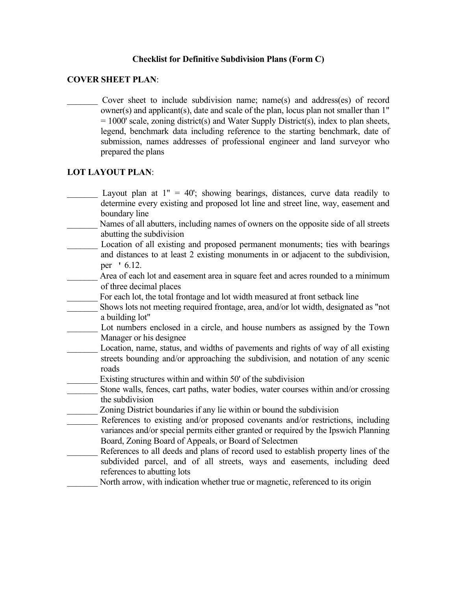#### **COVER SHEET PLAN**:

\_\_\_\_\_\_\_ Cover sheet to include subdivision name; name(s) and address(es) of record owner(s) and applicant(s), date and scale of the plan, locus plan not smaller than 1"  $= 1000'$  scale, zoning district(s) and Water Supply District(s), index to plan sheets, legend, benchmark data including reference to the starting benchmark, date of submission, names addresses of professional engineer and land surveyor who prepared the plans

## **LOT LAYOUT PLAN**:

- Layout plan at  $1'' = 40'$ ; showing bearings, distances, curve data readily to determine every existing and proposed lot line and street line, way, easement and boundary line
- Names of all abutters, including names of owners on the opposite side of all streets abutting the subdivision
- Location of all existing and proposed permanent monuments; ties with bearings and distances to at least 2 existing monuments in or adjacent to the subdivision, per ' 6.12.
- Area of each lot and easement area in square feet and acres rounded to a minimum of three decimal places
- For each lot, the total frontage and lot width measured at front setback line
- \_\_\_\_\_\_\_ Shows lots not meeting required frontage, area, and/or lot width, designated as "not a building lot"
- Lot numbers enclosed in a circle, and house numbers as assigned by the Town Manager or his designee
- Location, name, status, and widths of pavements and rights of way of all existing streets bounding and/or approaching the subdivision, and notation of any scenic roads
- Existing structures within and within 50' of the subdivision
- \_\_\_\_\_\_\_ Stone walls, fences, cart paths, water bodies, water courses within and/or crossing the subdivision
- Zoning District boundaries if any lie within or bound the subdivision
- References to existing and/or proposed covenants and/or restrictions, including variances and/or special permits either granted or required by the Ipswich Planning Board, Zoning Board of Appeals, or Board of Selectmen
- References to all deeds and plans of record used to establish property lines of the subdivided parcel, and of all streets, ways and easements, including deed references to abutting lots
- North arrow, with indication whether true or magnetic, referenced to its origin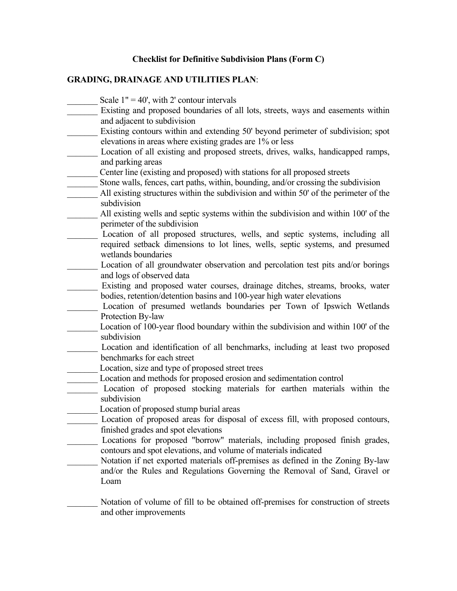## **GRADING, DRAINAGE AND UTILITIES PLAN**:

- $\frac{1}{2}$  Scale 1" = 40', with 2' contour intervals
- Existing and proposed boundaries of all lots, streets, ways and easements within and adjacent to subdivision
- \_\_\_\_\_\_\_ Existing contours within and extending 50' beyond perimeter of subdivision; spot elevations in areas where existing grades are 1% or less
- Location of all existing and proposed streets, drives, walks, handicapped ramps, and parking areas
- \_\_\_\_\_\_\_ Center line (existing and proposed) with stations for all proposed streets
- Stone walls, fences, cart paths, within, bounding, and/or crossing the subdivision
- All existing structures within the subdivision and within 50' of the perimeter of the subdivision
- All existing wells and septic systems within the subdivision and within 100' of the perimeter of the subdivision
- Location of all proposed structures, wells, and septic systems, including all required setback dimensions to lot lines, wells, septic systems, and presumed wetlands boundaries
- \_\_\_\_\_\_\_ Location of all groundwater observation and percolation test pits and/or borings and logs of observed data

Existing and proposed water courses, drainage ditches, streams, brooks, water bodies, retention/detention basins and 100-year high water elevations

- Location of presumed wetlands boundaries per Town of Ipswich Wetlands Protection By-law
- Location of 100-year flood boundary within the subdivision and within 100' of the subdivision
- \_\_\_\_\_\_\_ Location and identification of all benchmarks, including at least two proposed benchmarks for each street
- \_\_\_\_\_\_\_ Location, size and type of proposed street trees
- Location and methods for proposed erosion and sedimentation control
- Location of proposed stocking materials for earthen materials within the subdivision
- \_\_\_\_\_\_\_ Location of proposed stump burial areas
- Location of proposed areas for disposal of excess fill, with proposed contours, finished grades and spot elevations
- Locations for proposed "borrow" materials, including proposed finish grades, contours and spot elevations, and volume of materials indicated
- Notation if net exported materials off-premises as defined in the Zoning By-law and/or the Rules and Regulations Governing the Removal of Sand, Gravel or Loam

Notation of volume of fill to be obtained off-premises for construction of streets and other improvements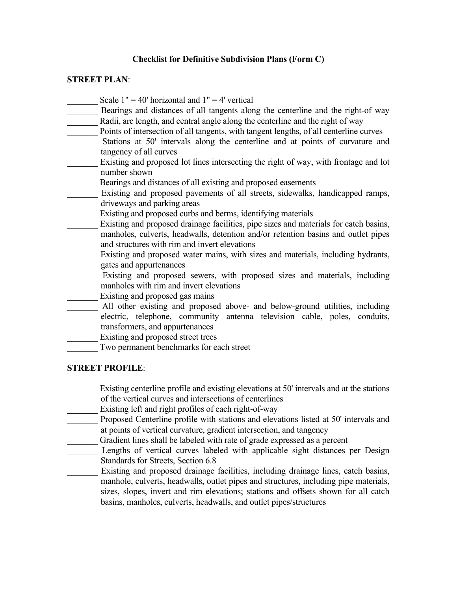#### **STREET PLAN**:

- Scale  $1" = 40'$  horizontal and  $1" = 4'$  vertical
- Bearings and distances of all tangents along the centerline and the right-of way Radii, arc length, and central angle along the centerline and the right of way
- \_\_\_\_\_\_\_ Points of intersection of all tangents, with tangent lengths, of all centerline curves
- \_\_\_\_\_\_\_ Stations at 50' intervals along the centerline and at points of curvature and
- tangency of all curves
- Existing and proposed lot lines intersecting the right of way, with frontage and lot number shown
- Bearings and distances of all existing and proposed easements
- Existing and proposed pavements of all streets, sidewalks, handicapped ramps, driveways and parking areas
- Existing and proposed curbs and berms, identifying materials
- Existing and proposed drainage facilities, pipe sizes and materials for catch basins, manholes, culverts, headwalls, detention and/or retention basins and outlet pipes and structures with rim and invert elevations
- Existing and proposed water mains, with sizes and materials, including hydrants, gates and appurtenances
- \_\_\_\_\_\_\_ Existing and proposed sewers, with proposed sizes and materials, including manholes with rim and invert elevations
- Existing and proposed gas mains
- All other existing and proposed above- and below-ground utilities, including electric, telephone, community antenna television cable, poles, conduits, transformers, and appurtenances
- Existing and proposed street trees
- Two permanent benchmarks for each street

#### **STREET PROFILE**:

- Existing centerline profile and existing elevations at 50' intervals and at the stations of the vertical curves and intersections of centerlines
- Existing left and right profiles of each right-of-way
- Proposed Centerline profile with stations and elevations listed at 50' intervals and at points of vertical curvature, gradient intersection, and tangency
- \_\_\_\_\_\_\_ Gradient lines shall be labeled with rate of grade expressed as a percent
- Lengths of vertical curves labeled with applicable sight distances per Design Standards for Streets, Section 6.8
- Existing and proposed drainage facilities, including drainage lines, catch basins, manhole, culverts, headwalls, outlet pipes and structures, including pipe materials, sizes, slopes, invert and rim elevations; stations and offsets shown for all catch basins, manholes, culverts, headwalls, and outlet pipes/structures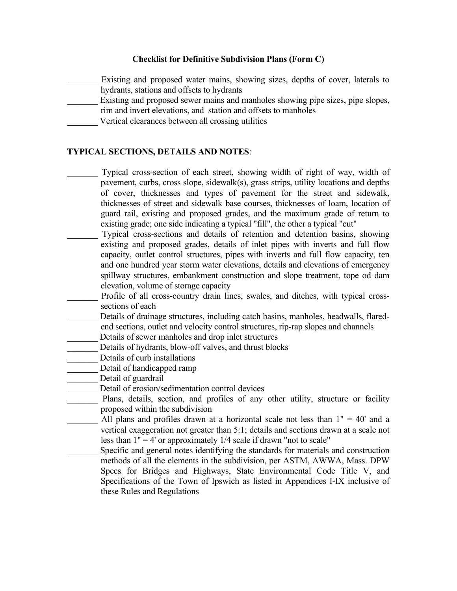Existing and proposed water mains, showing sizes, depths of cover, laterals to hydrants, stations and offsets to hydrants Existing and proposed sewer mains and manholes showing pipe sizes, pipe slopes, rim and invert elevations, and station and offsets to manholes Vertical clearances between all crossing utilities

#### **TYPICAL SECTIONS, DETAILS AND NOTES**:

- Typical cross-section of each street, showing width of right of way, width of pavement, curbs, cross slope, sidewalk(s), grass strips, utility locations and depths of cover, thicknesses and types of pavement for the street and sidewalk, thicknesses of street and sidewalk base courses, thicknesses of loam, location of guard rail, existing and proposed grades, and the maximum grade of return to existing grade; one side indicating a typical "fill", the other a typical "cut"
- Typical cross-sections and details of retention and detention basins, showing existing and proposed grades, details of inlet pipes with inverts and full flow capacity, outlet control structures, pipes with inverts and full flow capacity, ten and one hundred year storm water elevations, details and elevations of emergency spillway structures, embankment construction and slope treatment, tope od dam elevation, volume of storage capacity
- Profile of all cross-country drain lines, swales, and ditches, with typical crosssections of each
- Details of drainage structures, including catch basins, manholes, headwalls, flaredend sections, outlet and velocity control structures, rip-rap slopes and channels
- Details of sewer manholes and drop inlet structures
- Details of hydrants, blow-off valves, and thrust blocks
- Details of curb installations
- Detail of handicapped ramp
- Detail of guardrail
- Detail of erosion/sedimentation control devices
- \_\_\_\_\_\_\_ Plans, details, section, and profiles of any other utility, structure or facility proposed within the subdivision
- All plans and profiles drawn at a horizontal scale not less than  $1" = 40'$  and a vertical exaggeration not greater than 5:1; details and sections drawn at a scale not less than  $1" = 4'$  or approximately  $1/4$  scale if drawn "not to scale"
	- Specific and general notes identifying the standards for materials and construction methods of all the elements in the subdivision, per ASTM, AWWA, Mass. DPW Specs for Bridges and Highways, State Environmental Code Title V, and Specifications of the Town of Ipswich as listed in Appendices I-IX inclusive of these Rules and Regulations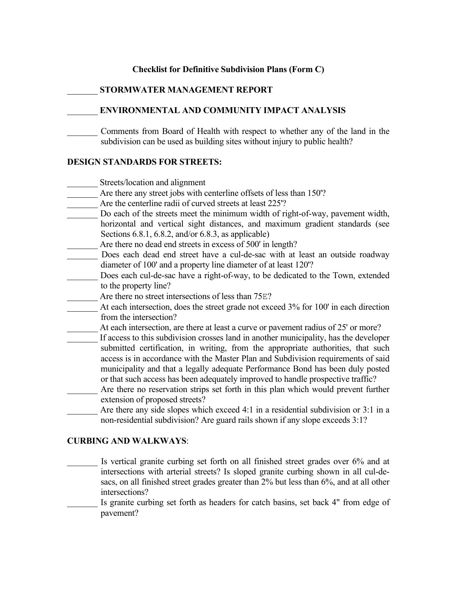# \_\_\_\_\_\_\_ **STORMWATER MANAGEMENT REPORT** \_\_\_\_\_\_\_ **ENVIRONMENTAL AND COMMUNITY IMPACT ANALYSIS** \_\_\_\_\_\_\_ Comments from Board of Health with respect to whether any of the land in the subdivision can be used as building sites without injury to public health?

## **DESIGN STANDARDS FOR STREETS:**

- \_\_\_\_\_\_\_ Streets/location and alignment
- Are there any street jobs with centerline offsets of less than 150'?
- Are the centerline radii of curved streets at least 225'?
- Do each of the streets meet the minimum width of right-of-way, pavement width, horizontal and vertical sight distances, and maximum gradient standards (see Sections 6.8.1, 6.8.2, and/or 6.8.3, as applicable)
- Are there no dead end streets in excess of 500' in length?
- Does each dead end street have a cul-de-sac with at least an outside roadway diameter of 100' and a property line diameter of at least 120'?
- Does each cul-de-sac have a right-of-way, to be dedicated to the Town, extended to the property line?
- Are there no street intersections of less than 75E?
- At each intersection, does the street grade not exceed 3% for 100' in each direction from the intersection?
- At each intersection, are there at least a curve or pavement radius of 25' or more?
- If access to this subdivision crosses land in another municipality, has the developer submitted certification, in writing, from the appropriate authorities, that such access is in accordance with the Master Plan and Subdivision requirements of said municipality and that a legally adequate Performance Bond has been duly posted or that such access has been adequately improved to handle prospective traffic?
- \_\_\_\_\_\_\_ Are there no reservation strips set forth in this plan which would prevent further extension of proposed streets?
- Are there any side slopes which exceed 4:1 in a residential subdivision or 3:1 in a non-residential subdivision? Are guard rails shown if any slope exceeds 3:1?

## **CURBING AND WALKWAYS**:

- Is vertical granite curbing set forth on all finished street grades over 6% and at intersections with arterial streets? Is sloped granite curbing shown in all cul-desacs, on all finished street grades greater than 2% but less than 6%, and at all other intersections?
- Is granite curbing set forth as headers for catch basins, set back 4" from edge of pavement?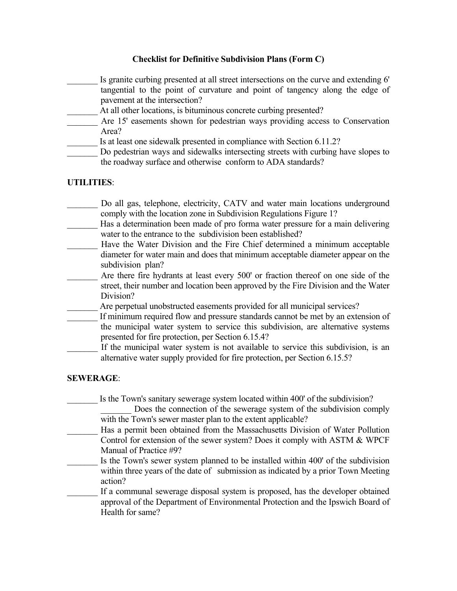- Is granite curbing presented at all street intersections on the curve and extending 6' tangential to the point of curvature and point of tangency along the edge of pavement at the intersection?
- At all other locations, is bituminous concrete curbing presented?
- Are 15' easements shown for pedestrian ways providing access to Conservation Area?
- Is at least one sidewalk presented in compliance with Section 6.11.2?
- Do pedestrian ways and sidewalks intersecting streets with curbing have slopes to the roadway surface and otherwise conform to ADA standards?

#### **UTILITIES**:

- Do all gas, telephone, electricity, CATV and water main locations underground comply with the location zone in Subdivision Regulations Figure 1?
- Has a determination been made of pro forma water pressure for a main delivering water to the entrance to the subdivision been established?
- Have the Water Division and the Fire Chief determined a minimum acceptable diameter for water main and does that minimum acceptable diameter appear on the subdivision plan?
- Are there fire hydrants at least every 500' or fraction thereof on one side of the street, their number and location been approved by the Fire Division and the Water Division?
- Are perpetual unobstructed easements provided for all municipal services?
- If minimum required flow and pressure standards cannot be met by an extension of the municipal water system to service this subdivision, are alternative systems presented for fire protection, per Section 6.15.4?
- If the municipal water system is not available to service this subdivision, is an alternative water supply provided for fire protection, per Section 6.15.5?

#### **SEWERAGE**:

- Is the Town's sanitary sewerage system located within 400' of the subdivision?
	- Does the connection of the sewerage system of the subdivision comply with the Town's sewer master plan to the extent applicable?
- Has a permit been obtained from the Massachusetts Division of Water Pollution Control for extension of the sewer system? Does it comply with ASTM & WPCF Manual of Practice #9?
- Is the Town's sewer system planned to be installed within 400' of the subdivision within three years of the date of submission as indicated by a prior Town Meeting action?
- If a communal sewerage disposal system is proposed, has the developer obtained approval of the Department of Environmental Protection and the Ipswich Board of Health for same?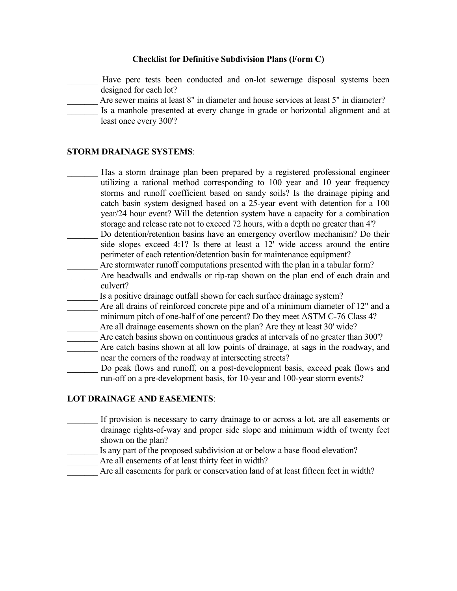\_\_\_\_\_\_\_ Have perc tests been conducted and on-lot sewerage disposal systems been designed for each lot?

- Are sewer mains at least 8" in diameter and house services at least 5" in diameter?
- Is a manhole presented at every change in grade or horizontal alignment and at least once every 300'?

#### **STORM DRAINAGE SYSTEMS**:

- Has a storm drainage plan been prepared by a registered professional engineer utilizing a rational method corresponding to 100 year and 10 year frequency storms and runoff coefficient based on sandy soils? Is the drainage piping and catch basin system designed based on a 25-year event with detention for a 100 year/24 hour event? Will the detention system have a capacity for a combination storage and release rate not to exceed 72 hours, with a depth no greater than 4'?
- Do detention/retention basins have an emergency overflow mechanism? Do their side slopes exceed 4:1? Is there at least a 12' wide access around the entire perimeter of each retention/detention basin for maintenance equipment?
- \_\_\_\_\_\_\_ Are stormwater runoff computations presented with the plan in a tabular form?
- Are headwalls and endwalls or rip-rap shown on the plan end of each drain and culvert?
- Is a positive drainage outfall shown for each surface drainage system?
- Are all drains of reinforced concrete pipe and of a minimum diameter of 12" and a minimum pitch of one-half of one percent? Do they meet ASTM C-76 Class 4?
- Are all drainage easements shown on the plan? Are they at least 30' wide?
- Are catch basins shown on continuous grades at intervals of no greater than 300<sup>'</sup>?
- Are catch basins shown at all low points of drainage, at sags in the roadway, and near the corners of the roadway at intersecting streets?
- Do peak flows and runoff, on a post-development basis, exceed peak flows and run-off on a pre-development basis, for 10-year and 100-year storm events?

## **LOT DRAINAGE AND EASEMENTS**:

- If provision is necessary to carry drainage to or across a lot, are all easements or drainage rights-of-way and proper side slope and minimum width of twenty feet shown on the plan?
- Is any part of the proposed subdivision at or below a base flood elevation?
- Are all easements of at least thirty feet in width?
- Are all easements for park or conservation land of at least fifteen feet in width?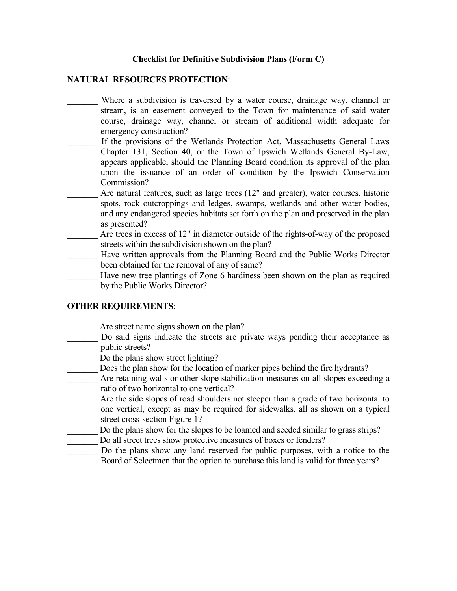## **NATURAL RESOURCES PROTECTION**:

- Where a subdivision is traversed by a water course, drainage way, channel or stream, is an easement conveyed to the Town for maintenance of said water course, drainage way, channel or stream of additional width adequate for emergency construction?
- If the provisions of the Wetlands Protection Act, Massachusetts General Laws Chapter 131, Section 40, or the Town of Ipswich Wetlands General By-Law, appears applicable, should the Planning Board condition its approval of the plan upon the issuance of an order of condition by the Ipswich Conservation Commission?
- Are natural features, such as large trees (12" and greater), water courses, historic spots, rock outcroppings and ledges, swamps, wetlands and other water bodies, and any endangered species habitats set forth on the plan and preserved in the plan as presented?
- Are trees in excess of 12" in diameter outside of the rights-of-way of the proposed streets within the subdivision shown on the plan?
- Have written approvals from the Planning Board and the Public Works Director been obtained for the removal of any of same?
- Have new tree plantings of Zone 6 hardiness been shown on the plan as required by the Public Works Director?

## **OTHER REQUIREMENTS**:

- Are street name signs shown on the plan?
- Do said signs indicate the streets are private ways pending their acceptance as public streets?
- Do the plans show street lighting?
- Does the plan show for the location of marker pipes behind the fire hydrants?
- Are retaining walls or other slope stabilization measures on all slopes exceeding a ratio of two horizontal to one vertical?
- Are the side slopes of road shoulders not steeper than a grade of two horizontal to one vertical, except as may be required for sidewalks, all as shown on a typical street cross-section Figure 1?
- Do the plans show for the slopes to be loamed and seeded similar to grass strips?
- Do all street trees show protective measures of boxes or fenders?
- Do the plans show any land reserved for public purposes, with a notice to the Board of Selectmen that the option to purchase this land is valid for three years?